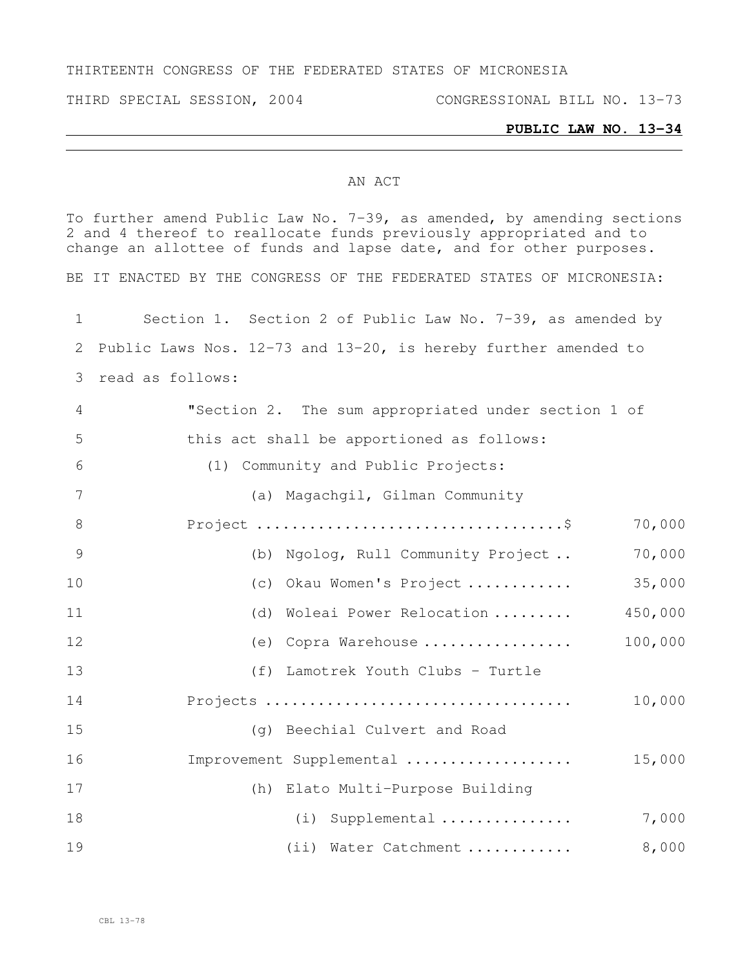#### THIRTEENTH CONGRESS OF THE FEDERATED STATES OF MICRONESIA

THIRD SPECIAL SESSION, 2004 CONGRESSIONAL BILL NO. 13-73

#### **PUBLIC LAW NO. 13-34**

#### AN ACT

To further amend Public Law No. 7-39, as amended, by amending sections and 4 thereof to reallocate funds previously appropriated and to change an allottee of funds and lapse date, and for other purposes. BE IT ENACTED BY THE CONGRESS OF THE FEDERATED STATES OF MICRONESIA: Section 1. Section 2 of Public Law No. 7-39, as amended by Public Laws Nos. 12-73 and 13-20, is hereby further amended to read as follows: "Section 2. The sum appropriated under section 1 of this act shall be apportioned as follows: (1) Community and Public Projects: (a) Magachgil, Gilman Community Project ...................................\$ 70,000 (b) Ngolog, Rull Community Project .. 70,000 (c) Okau Women's Project ............ 35,000 (d) Woleai Power Relocation ......... 450,000 (e) Copra Warehouse ................. 100,000 (f) Lamotrek Youth Clubs - Turtle Projects ................................... 10,000 (g) Beechial Culvert and Road Improvement Supplemental ................... 15,000 (h) Elato Multi-Purpose Building (i) Supplemental ............... 7,000 (ii) Water Catchment ............ 8,000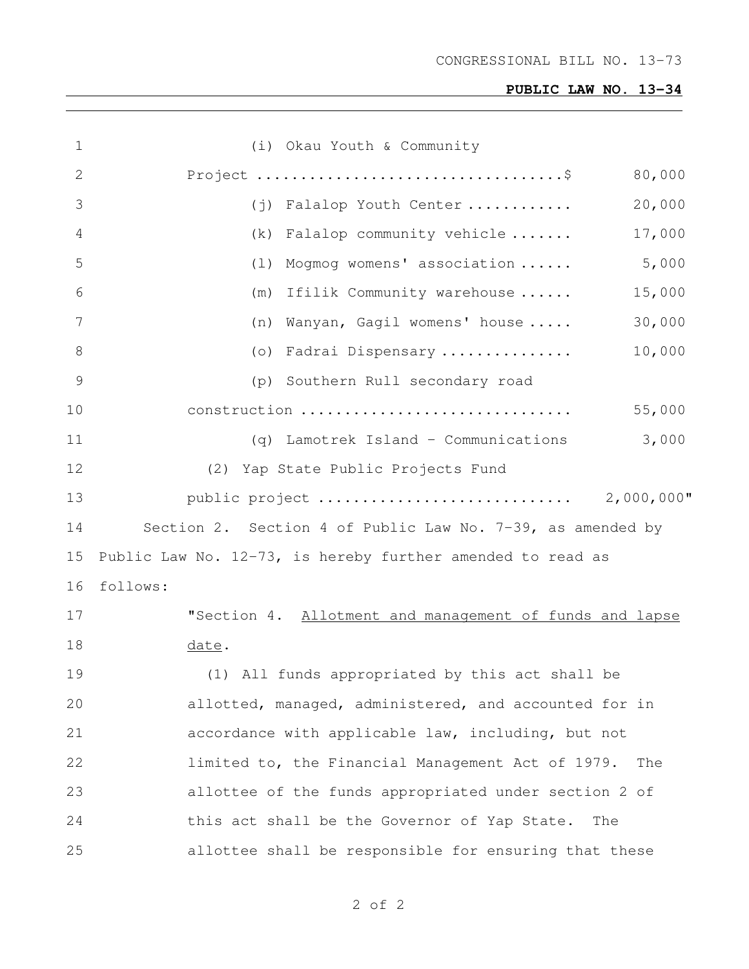# **PUBLIC LAW NO. 13-34**

| $\mathbf 1$  | (i) Okau Youth & Community                                 |        |
|--------------|------------------------------------------------------------|--------|
| $\mathbf{2}$ |                                                            | 80,000 |
| 3            | (j) Falalop Youth Center                                   | 20,000 |
| 4            | $(k)$ Falalop community vehicle                            | 17,000 |
| 5            | (1) Mogmog womens' association                             | 5,000  |
| 6            | (m) Ifilik Community warehouse                             | 15,000 |
| 7            | Wanyan, Gagil womens' house<br>(n)                         | 30,000 |
| 8            | (o) Fadrai Dispensary                                      | 10,000 |
| 9            | (p) Southern Rull secondary road                           |        |
| 10           | construction                                               | 55,000 |
| 11           | (q) Lamotrek Island - Communications                       | 3,000  |
| 12           | (2) Yap State Public Projects Fund                         |        |
| 13           | public project  2,000,000"                                 |        |
| 14           | Section 2. Section 4 of Public Law No. 7-39, as amended by |        |
| 15           | Public Law No. 12-73, is hereby further amended to read as |        |
| 16           | follows:                                                   |        |
| 17           | "Section 4. Allotment and management of funds and lapse    |        |
| 18           | date.                                                      |        |
| 19           | (1) All funds appropriated by this act shall be            |        |
| 20           | allotted, managed, administered, and accounted for in      |        |
| 21           | accordance with applicable law, including, but not         |        |
| 22           | limited to, the Financial Management Act of 1979.<br>The   |        |
| 23           | allottee of the funds appropriated under section 2 of      |        |
| 24           | this act shall be the Governor of Yap State.<br>The        |        |
| 25           | allottee shall be responsible for ensuring that these      |        |

of 2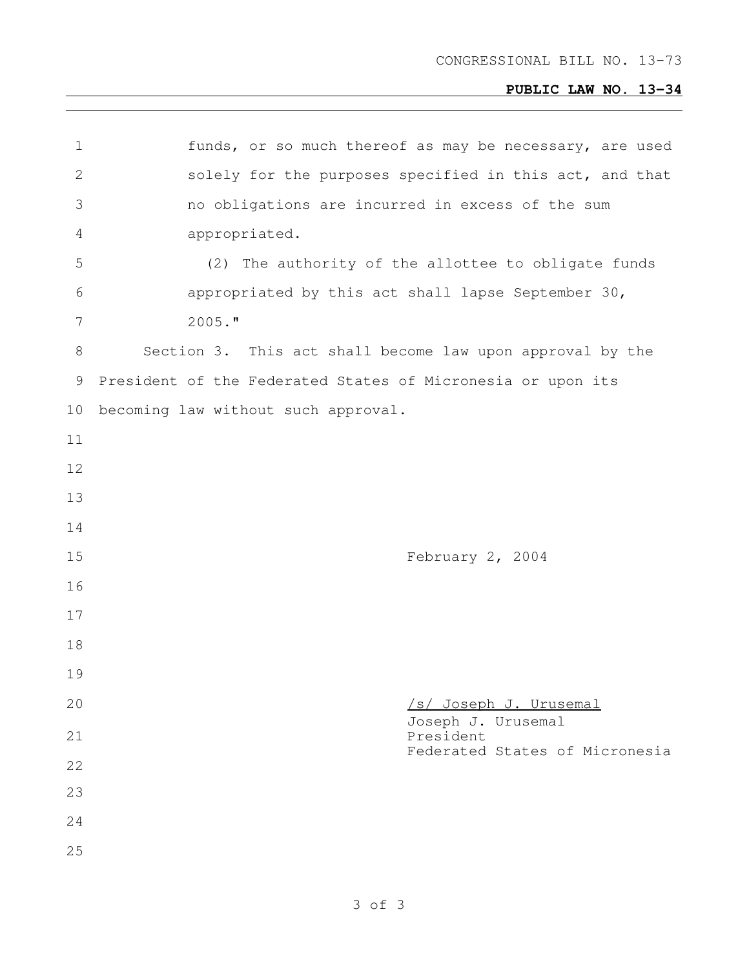# **PUBLIC LAW NO. 13-34**

| $\mathbf 1$    | funds, or so much thereof as may be necessary, are used     |
|----------------|-------------------------------------------------------------|
| $\mathbf{2}$   | solely for the purposes specified in this act, and that     |
| 3              | no obligations are incurred in excess of the sum            |
| $\overline{4}$ | appropriated.                                               |
| 5              | (2) The authority of the allottee to obligate funds         |
| 6              | appropriated by this act shall lapse September 30,          |
| 7              | $2005.$ "                                                   |
| 8              | Section 3. This act shall become law upon approval by the   |
| 9              | President of the Federated States of Micronesia or upon its |
| 10             | becoming law without such approval.                         |
| 11             |                                                             |
| 12             |                                                             |
| 13             |                                                             |
| 14             |                                                             |
| 15             | February 2, 2004                                            |
| 16             |                                                             |
| 17             |                                                             |
| 18             |                                                             |
| 19             |                                                             |
| 20             | /s/ Joseph J. Urusemal                                      |
| 21             | Joseph J. Urusemal<br>President                             |
| 22             | Federated States of Micronesia                              |
| 23             |                                                             |
| 24             |                                                             |
| 25             |                                                             |